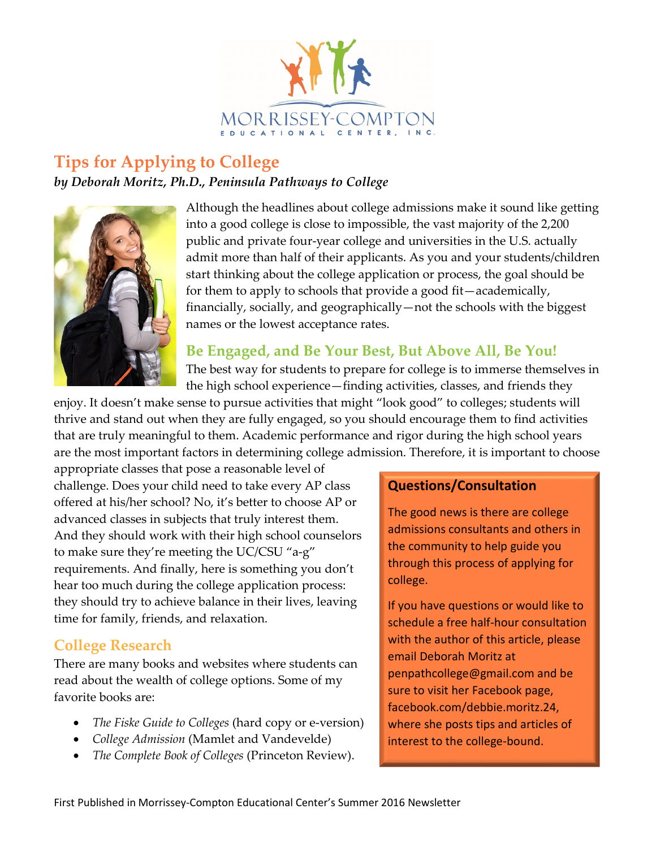

# **Tips for Applying to College** *by Deborah Moritz, Ph.D., Peninsula Pathways to College*



Although the headlines about college admissions make it sound like getting into a good college is close to impossible, the vast majority of the 2,200 public and private four-year college and universities in the U.S. actually admit more than half of their applicants. As you and your students/children start thinking about the college application or process, the goal should be for them to apply to schools that provide a good fit—academically, financially, socially, and geographically—not the schools with the biggest names or the lowest acceptance rates.

**Be Engaged, and Be Your Best, But Above All, Be You!** The best way for students to prepare for college is to immerse themselves in the high school experience—finding activities, classes, and friends they

enjoy. It doesn't make sense to pursue activities that might "look good" to colleges; students will thrive and stand out when they are fully engaged, so you should encourage them to find activities that are truly meaningful to them. Academic performance and rigor during the high school years are the most important factors in determining college admission. Therefore, it is important to choose

appropriate classes that pose a reasonable level of challenge. Does your child need to take every AP class offered at his/her school? No, it's better to choose AP or advanced classes in subjects that truly interest them. And they should work with their high school counselors to make sure they're meeting the UC/CSU "a-g" requirements. And finally, here is something you don't hear too much during the college application process: they should try to achieve balance in their lives, leaving time for family, friends, and relaxation.

### **College Research**

There are many books and websites where students can read about the wealth of college options. Some of my favorite books are:

- *The Fiske Guide to Colleges* (hard copy or e-version)
- *College Admission* (Mamlet and Vandevelde)
- *The Complete Book of Colleges* (Princeton Review).

#### **Questions/Consultation**

The good news is there are college admissions consultants and others in the community to help guide you through this process of applying for college.

If you have questions or would like to schedule a free half-hour consultation with the author of this article, please email Deborah Moritz at penpathcollege@gmail.com and be sure to visit her Facebook page, facebook.com/debbie.moritz.24, where she posts tips and articles of interest to the college-bound.